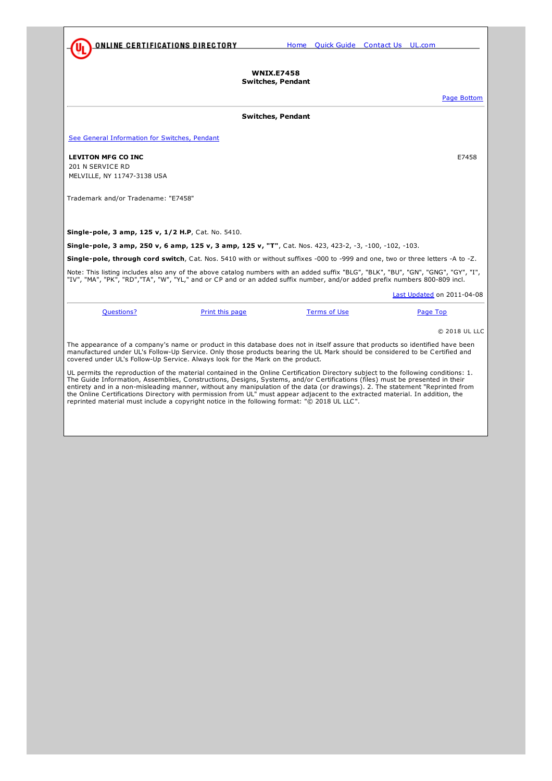<span id="page-0-0"></span>

**WNIX.E7458 Switches, Pendant**

Page Bottom

## **Switches, Pendant**

See General [Information](http://database.ul.com/cgi-bin/XYV/template/LISEXT/1FRAME/showpage.html?&name=WNIX.GuideInfo&ccnshorttitle=Switches,+Pendant&objid=1074128227&cfgid=1073741824&version=versionless&parent_id=1073995286&sequence=1) for Switches, Pendant

## **LEVITON MFG CO INC** E7458

201 N SERVICE RD MELVILLE, NY 11747-3138 USA

Trademark and/or Tradename: "E7458"

**Single-pole, 3 amp, 125 v, 1/2 H.P**, Cat. No. 5410.

**Single-pole, 3 amp, 250 v, 6 amp, 125 v, 3 amp, 125 v, "T"**, Cat. Nos. 423, 423-2, -3, -100, -102, -103.

**Single-pole, through cord switch**, Cat. Nos. 5410 with or without suffixes -000 to -999 and one, two or three letters -A to -Z.

Note: This listing includes also any of the above catalog numbers with an added suffix "BLG", "BLK", "BU", "GN", "GY", "GY", "I",<br>"IV", "MA", "PK", "RD","TA", "W", "YL," and or CP and or an added suffix number, and/or adde

|            |                                                                                |                                                                                                                                                                                                                                                                     | Last Updated on 2011-04-08 |
|------------|--------------------------------------------------------------------------------|---------------------------------------------------------------------------------------------------------------------------------------------------------------------------------------------------------------------------------------------------------------------|----------------------------|
| Questions? | Print this page                                                                | Terms of Use                                                                                                                                                                                                                                                        | Page Top                   |
|            |                                                                                |                                                                                                                                                                                                                                                                     | © 2018 UL LLC              |
|            | covered under UL's Follow-Up Service. Always look for the Mark on the product. | The appearance of a company's name or product in this database does not in itself assure that products so identified have been<br>manufactured under UL's Follow-Up Service. Only those products bearing the UL Mark should be considered to be Certified and       |                            |
|            |                                                                                | UL permits the reproduction of the material contained in the Online Certification Directory subject to the following conditions: 1.<br>The Guide Information, Assemblies, Constructions, Designs, Systems, and/or Certifications (files) must be presented in their |                            |

The Guide Information, Assemblies, Constructions, Designs, Systems, and/or Certifications (files) must be presented in their<br>entirety and in a non-misleading manner, without any manipulation of the data (or drawings). 2. T